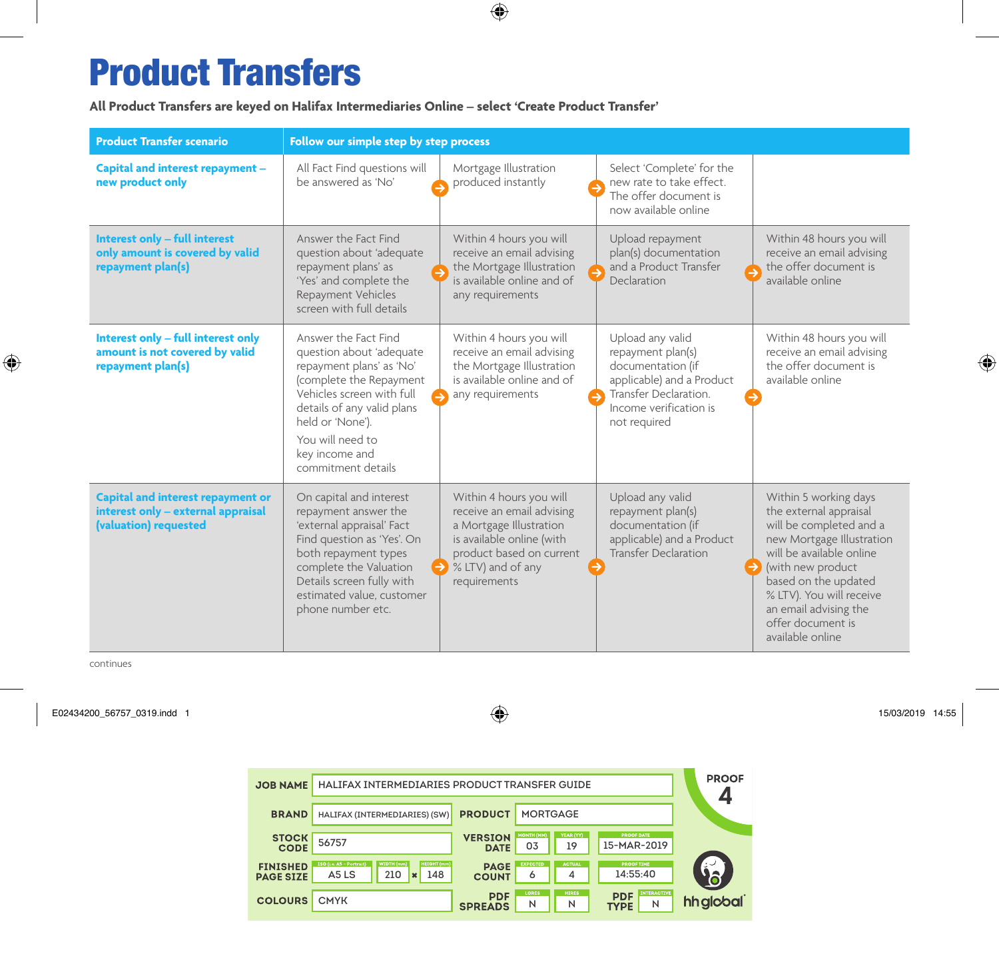## Product Transfers

**All Product Transfers are keyed on Halifax Intermediaries Online – select 'Create Product Transfer'**

| <b>Product Transfer scenario</b>                                                                        | Follow our simple step by step process                                                                                                                                                                                                             |                                                                                                                                                                               |                                                                                                                                                            |                                                                                                                                                                                                                                                                                |
|---------------------------------------------------------------------------------------------------------|----------------------------------------------------------------------------------------------------------------------------------------------------------------------------------------------------------------------------------------------------|-------------------------------------------------------------------------------------------------------------------------------------------------------------------------------|------------------------------------------------------------------------------------------------------------------------------------------------------------|--------------------------------------------------------------------------------------------------------------------------------------------------------------------------------------------------------------------------------------------------------------------------------|
| Capital and interest repayment -<br>new product only                                                    | All Fact Find questions will<br>be answered as 'No'                                                                                                                                                                                                | Mortgage Illustration<br>produced instantly                                                                                                                                   | Select 'Complete' for the<br>new rate to take effect.<br>The offer document is<br>now available online                                                     |                                                                                                                                                                                                                                                                                |
| <b>Interest only - full interest</b><br>only amount is covered by valid<br>repayment plan(s)            | Answer the Fact Find<br>question about 'adequate<br>repayment plans' as<br>'Yes' and complete the<br>Repayment Vehicles<br>screen with full details                                                                                                | Within 4 hours you will<br>receive an email advising<br>the Mortgage Illustration<br>is available online and of<br>any requirements                                           | Upload repayment<br>plan(s) documentation<br>and a Product Transfer<br>Declaration                                                                         | Within 48 hours you will<br>receive an email advising<br>the offer document is<br>available online                                                                                                                                                                             |
| Interest only - full interest only<br>amount is not covered by valid<br>repayment plan(s)               | Answer the Fact Find<br>question about 'adequate<br>repayment plans' as 'No'<br>(complete the Repayment<br>Vehicles screen with full<br>details of any valid plans<br>held or 'None').<br>You will need to<br>key income and<br>commitment details | Within 4 hours you will<br>receive an email advising<br>the Mortgage Illustration<br>is available online and of<br>any requirements                                           | Upload any valid<br>repayment plan(s)<br>documentation (if<br>applicable) and a Product<br>Transfer Declaration.<br>Income verification is<br>not required | Within 48 hours you will<br>receive an email advising<br>the offer document is<br>available online                                                                                                                                                                             |
| <b>Capital and interest repayment or</b><br>interest only - external appraisal<br>(valuation) requested | On capital and interest<br>repayment answer the<br>'external appraisal' Fact<br>Find question as 'Yes'. On<br>both repayment types<br>complete the Valuation<br>Details screen fully with<br>estimated value, customer<br>phone number etc.        | Within 4 hours you will<br>receive an email advising<br>a Mortgage Illustration<br>is available online (with<br>product based on current<br>% LTV) and of any<br>requirements | Upload any valid<br>repayment plan(s)<br>documentation (if<br>applicable) and a Product<br><b>Transfer Declaration</b>                                     | Within 5 working days<br>the external appraisal<br>will be completed and a<br>new Mortgage Illustration<br>will be available online<br>(with new product<br>based on the updated<br>% LTV). You will receive<br>an email advising the<br>offer document is<br>available online |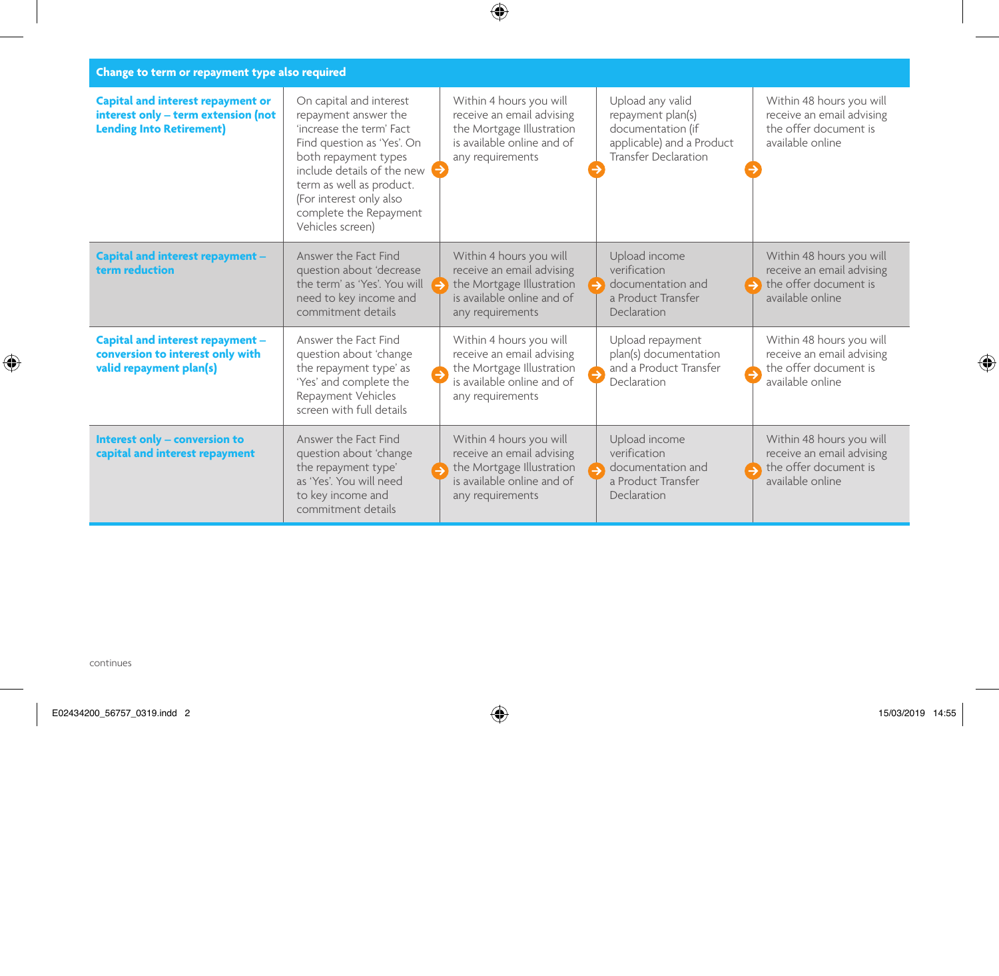| Change to term or repayment type also required                                                                     |                                                                                                                                                                                                                                                                      |                                                                                                                                     |                                                                                                                        |                                                                                                    |  |
|--------------------------------------------------------------------------------------------------------------------|----------------------------------------------------------------------------------------------------------------------------------------------------------------------------------------------------------------------------------------------------------------------|-------------------------------------------------------------------------------------------------------------------------------------|------------------------------------------------------------------------------------------------------------------------|----------------------------------------------------------------------------------------------------|--|
| <b>Capital and interest repayment or</b><br>interest only - term extension (not<br><b>Lending Into Retirement)</b> | On capital and interest<br>repayment answer the<br>'increase the term' Fact<br>Find question as 'Yes'. On<br>both repayment types<br>include details of the new<br>term as well as product.<br>(For interest only also<br>complete the Repayment<br>Vehicles screen) | Within 4 hours you will<br>receive an email advising<br>the Mortgage Illustration<br>is available online and of<br>any requirements | Upload any valid<br>repayment plan(s)<br>documentation (if<br>applicable) and a Product<br><b>Transfer Declaration</b> | Within 48 hours you will<br>receive an email advising<br>the offer document is<br>available online |  |
| Capital and interest repayment -<br>term reduction                                                                 | Answer the Fact Find<br>question about 'decrease<br>the term' as 'Yes'. You will<br>need to key income and<br>commitment details                                                                                                                                     | Within 4 hours you will<br>receive an email advising<br>the Mortgage Illustration<br>is available online and of<br>any requirements | Upload income<br>verification<br>documentation and<br>a Product Transfer<br>Declaration                                | Within 48 hours you will<br>receive an email advising<br>the offer document is<br>available online |  |
| Capital and interest repayment -<br>conversion to interest only with<br>valid repayment plan(s)                    | Answer the Fact Find<br>question about 'change<br>the repayment type' as<br>'Yes' and complete the<br>Repayment Vehicles<br>screen with full details                                                                                                                 | Within 4 hours you will<br>receive an email advising<br>the Mortgage Illustration<br>is available online and of<br>any requirements | Upload repayment<br>plan(s) documentation<br>and a Product Transfer<br>Declaration                                     | Within 48 hours you will<br>receive an email advising<br>the offer document is<br>available online |  |
| Interest only - conversion to<br>capital and interest repayment                                                    | Answer the Fact Find<br>question about 'change<br>the repayment type'<br>as 'Yes'. You will need<br>to key income and<br>commitment details                                                                                                                          | Within 4 hours you will<br>receive an email advising<br>the Mortgage Illustration<br>is available online and of<br>any requirements | Upload income<br>verification<br>documentation and<br>a Product Transfer<br>Declaration                                | Within 48 hours you will<br>receive an email advising<br>the offer document is<br>available online |  |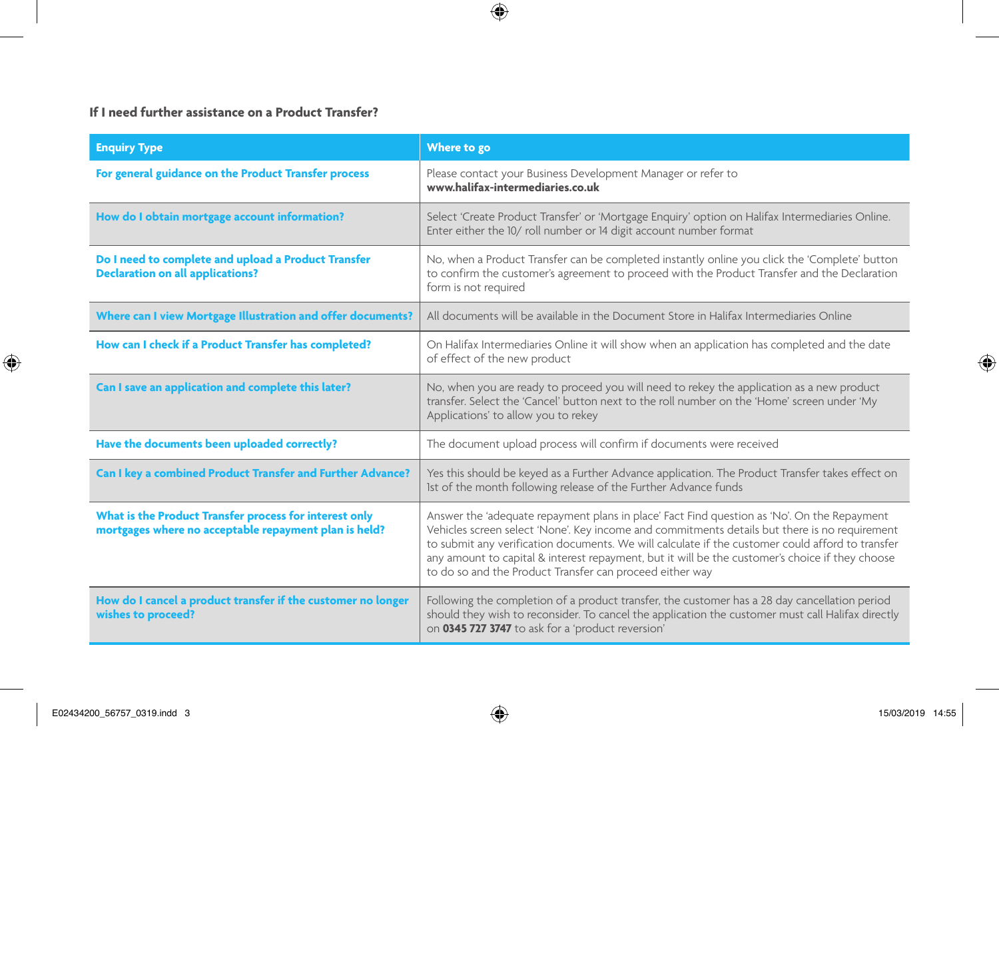## **If I need further assistance on a Product Transfer?**

| <b>Enquiry Type</b>                                                                                             | Where to go                                                                                                                                                                                                                                                                                                                                                                                                                                                     |
|-----------------------------------------------------------------------------------------------------------------|-----------------------------------------------------------------------------------------------------------------------------------------------------------------------------------------------------------------------------------------------------------------------------------------------------------------------------------------------------------------------------------------------------------------------------------------------------------------|
| For general guidance on the Product Transfer process                                                            | Please contact your Business Development Manager or refer to<br>www.halifax-intermediaries.co.uk                                                                                                                                                                                                                                                                                                                                                                |
| How do I obtain mortgage account information?                                                                   | Select 'Create Product Transfer' or 'Mortgage Enquiry' option on Halifax Intermediaries Online.<br>Enter either the 10/roll number or 14 digit account number format                                                                                                                                                                                                                                                                                            |
| Do I need to complete and upload a Product Transfer<br><b>Declaration on all applications?</b>                  | No, when a Product Transfer can be completed instantly online you click the 'Complete' button<br>to confirm the customer's agreement to proceed with the Product Transfer and the Declaration<br>form is not required                                                                                                                                                                                                                                           |
| Where can I view Mortgage Illustration and offer documents?                                                     | All documents will be available in the Document Store in Halifax Intermediaries Online                                                                                                                                                                                                                                                                                                                                                                          |
| How can I check if a Product Transfer has completed?                                                            | On Halifax Intermediaries Online it will show when an application has completed and the date<br>of effect of the new product                                                                                                                                                                                                                                                                                                                                    |
| Can I save an application and complete this later?                                                              | No, when you are ready to proceed you will need to rekey the application as a new product<br>transfer. Select the 'Cancel' button next to the roll number on the 'Home' screen under 'My<br>Applications' to allow you to rekey                                                                                                                                                                                                                                 |
| Have the documents been uploaded correctly?                                                                     | The document upload process will confirm if documents were received                                                                                                                                                                                                                                                                                                                                                                                             |
| Can I key a combined Product Transfer and Further Advance?                                                      | Yes this should be keyed as a Further Advance application. The Product Transfer takes effect on<br>Ist of the month following release of the Further Advance funds                                                                                                                                                                                                                                                                                              |
| What is the Product Transfer process for interest only<br>mortgages where no acceptable repayment plan is held? | Answer the 'adequate repayment plans in place' Fact Find question as 'No'. On the Repayment<br>Vehicles screen select 'None'. Key income and commitments details but there is no requirement<br>to submit any verification documents. We will calculate if the customer could afford to transfer<br>any amount to capital & interest repayment, but it will be the customer's choice if they choose<br>to do so and the Product Transfer can proceed either way |
| How do I cancel a product transfer if the customer no longer<br>wishes to proceed?                              | Following the completion of a product transfer, the customer has a 28 day cancellation period<br>should they wish to reconsider. To cancel the application the customer must call Halifax directly<br>on 0345 727 3747 to ask for a 'product reversion'                                                                                                                                                                                                         |